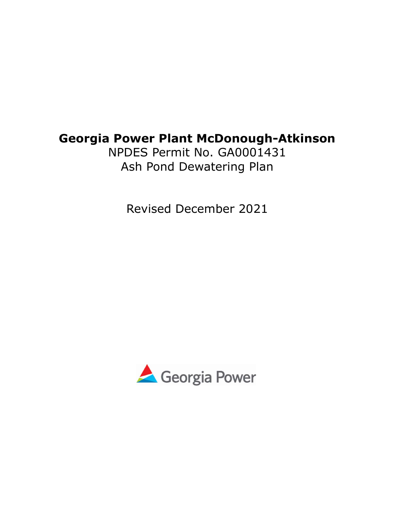# Georgia Power Plant McDonough-Atkinson

NPDES Permit No. GA0001431 Ash Pond Dewatering Plan

Revised December 2021

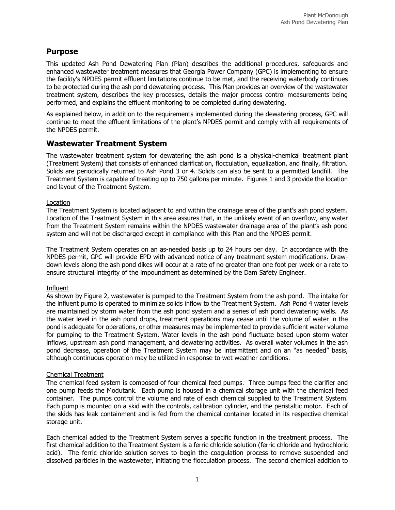## Purpose

This updated Ash Pond Dewatering Plan (Plan) describes the additional procedures, safeguards and enhanced wastewater treatment measures that Georgia Power Company (GPC) is implementing to ensure the facility's NPDES permit effluent limitations continue to be met, and the receiving waterbody continues to be protected during the ash pond dewatering process. This Plan provides an overview of the wastewater treatment system, describes the key processes, details the major process control measurements being performed, and explains the effluent monitoring to be completed during dewatering.

As explained below, in addition to the requirements implemented during the dewatering process, GPC will continue to meet the effluent limitations of the plant's NPDES permit and comply with all requirements of the NPDES permit.

## Wastewater Treatment System

The wastewater treatment system for dewatering the ash pond is a physical-chemical treatment plant (Treatment System) that consists of enhanced clarification, flocculation, equalization, and finally, filtration. Solids are periodically returned to Ash Pond 3 or 4. Solids can also be sent to a permitted landfill. The Treatment System is capable of treating up to 750 gallons per minute. Figures 1 and 3 provide the location and layout of the Treatment System.

## Location

The Treatment System is located adjacent to and within the drainage area of the plant's ash pond system. Location of the Treatment System in this area assures that, in the unlikely event of an overflow, any water from the Treatment System remains within the NPDES wastewater drainage area of the plant's ash pond system and will not be discharged except in compliance with this Plan and the NPDES permit.

The Treatment System operates on an as-needed basis up to 24 hours per day. In accordance with the NPDES permit, GPC will provide EPD with advanced notice of any treatment system modifications. Drawdown levels along the ash pond dikes will occur at a rate of no greater than one foot per week or a rate to ensure structural integrity of the impoundment as determined by the Dam Safety Engineer.

## Influent

As shown by Figure 2, wastewater is pumped to the Treatment System from the ash pond. The intake for the influent pump is operated to minimize solids inflow to the Treatment System. Ash Pond 4 water levels are maintained by storm water from the ash pond system and a series of ash pond dewatering wells. As the water level in the ash pond drops, treatment operations may cease until the volume of water in the pond is adequate for operations, or other measures may be implemented to provide sufficient water volume for pumping to the Treatment System. Water levels in the ash pond fluctuate based upon storm water inflows, upstream ash pond management, and dewatering activities. As overall water volumes in the ash pond decrease, operation of the Treatment System may be intermittent and on an "as needed" basis, although continuous operation may be utilized in response to wet weather conditions.

## Chemical Treatment

The chemical feed system is composed of four chemical feed pumps. Three pumps feed the clarifier and one pump feeds the Modutank. Each pump is housed in a chemical storage unit with the chemical feed container. The pumps control the volume and rate of each chemical supplied to the Treatment System. Each pump is mounted on a skid with the controls, calibration cylinder, and the peristaltic motor. Each of the skids has leak containment and is fed from the chemical container located in its respective chemical storage unit.

Each chemical added to the Treatment System serves a specific function in the treatment process. The first chemical addition to the Treatment System is a ferric chloride solution (ferric chloride and hydrochloric acid). The ferric chloride solution serves to begin the coagulation process to remove suspended and dissolved particles in the wastewater, initiating the flocculation process. The second chemical addition to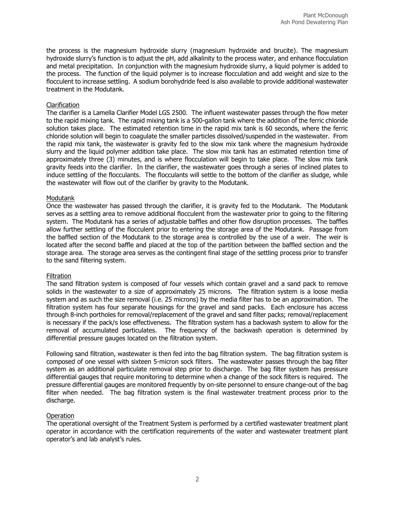the process is the magnesium hydroxide slurry (magnesium hydroxide and brucite). The magnesium hydroxide slurry's function is to adjust the pH, add alkalinity to the process water, and enhance flocculation and metal precipitation. In conjunction with the magnesium hydroxide slurry, a liquid polymer is added to the process. The function of the liquid polymer is to increase flocculation and add weight and size to the flocculent to increase settling. A sodium borohydride feed is also available to provide additional wastewater treatment in the Modutank.

#### Clarification

The clarifier is a Lamella Clarifier Model LGS 2500. The influent wastewater passes through the flow meter to the rapid mixing tank. The rapid mixing tank is a 500-gallon tank where the addition of the ferric chloride solution takes place. The estimated retention time in the rapid mix tank is 60 seconds, where the ferric chloride solution will begin to coagulate the smaller particles dissolved/suspended in the wastewater. From the rapid mix tank, the wastewater is gravity fed to the slow mix tank where the magnesium hydroxide slurry and the liquid polymer addition take place. The slow mix tank has an estimated retention time of approximately three (3) minutes, and is where flocculation will begin to take place. The slow mix tank gravity feeds into the clarifier. In the clarifier, the wastewater goes through a series of inclined plates to induce settling of the flocculants. The flocculants will settle to the bottom of the clarifier as sludge, while the wastewater will flow out of the clarifier by gravity to the Modutank.

#### Modutank

Once the wastewater has passed through the clarifier, it is gravity fed to the Modutank. The Modutank serves as a settling area to remove additional flocculent from the wastewater prior to going to the filtering system. The Modutank has a series of adjustable baffles and other flow disruption processes. The baffles allow further settling of the flocculent prior to entering the storage area of the Modutank. Passage from the baffled section of the Modutank to the storage area is controlled by the use of a weir. The weir is located after the second baffle and placed at the top of the partition between the baffled section and the storage area. The storage area serves as the contingent final stage of the settling process prior to transfer to the sand filtering system.

#### **Filtration**

The sand filtration system is composed of four vessels which contain gravel and a sand pack to remove solids in the wastewater to a size of approximately 25 microns. The filtration system is a loose media system and as such the size removal (i.e. 25 microns) by the media filter has to be an approximation. The filtration system has four separate housings for the gravel and sand packs. Each enclosure has access through 8-inch portholes for removal/replacement of the gravel and sand filter packs; removal/replacement is necessary if the pack/s lose effectiveness. The filtration system has a backwash system to allow for the removal of accumulated particulates. The frequency of the backwash operation is determined by differential pressure gauges located on the filtration system.

Following sand filtration, wastewater is then fed into the bag filtration system. The bag filtration system is composed of one vessel with sixteen 5-micron sock filters. The wastewater passes through the bag filter system as an additional particulate removal step prior to discharge. The bag filter system has pressure differential gauges that require monitoring to determine when a change of the sock filters is required. The pressure differential gauges are monitored frequently by on-site personnel to ensure change-out of the bag filter when needed. The bag filtration system is the final wastewater treatment process prior to the discharge.

## **Operation**

The operational oversight of the Treatment System is performed by a certified wastewater treatment plant operator in accordance with the certification requirements of the water and wastewater treatment plant operator's and lab analyst's rules.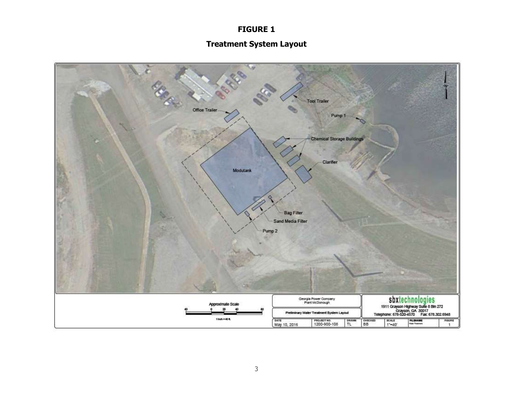# FIGURE 1

# Treatment System Layout

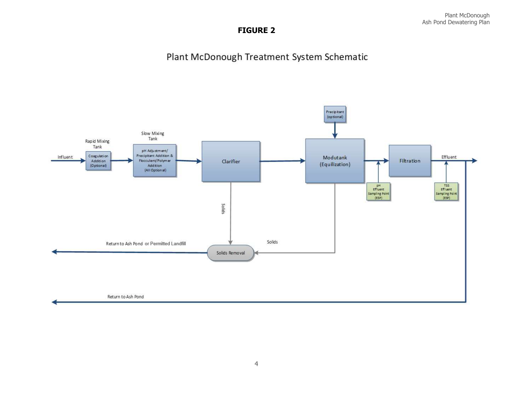## FIGURE 2

# Plant McDonough Treatment System Schematic

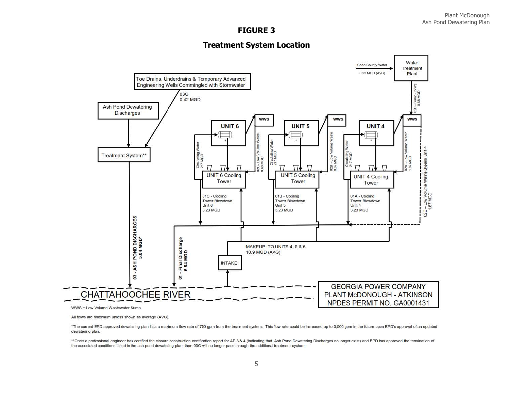## FIGURE 3

## Treatment System Location



All flows are maximum unless shown as average (AVG).

\*The current EPD-approved dewatering plan lists a maximum flow rate of 750 gpm from the treatment system. This flow rate could be increased up to 3,500 gpm in the future upon EPD's approval of an updated dewatering plan

\*\*Once a professional engineer has certified the closure construction certification report for AP 3 & 4 (indicating that Ash Pond Dewatering Discharges no longer exist) and EPD has approved the termination of the associated conditions listed in the ash pond dewatering plan, then 03G will no longer pass through the additional treatment system.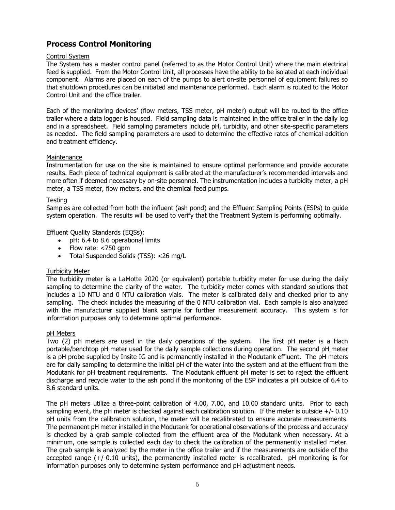## Process Control Monitoring

## Control System

The System has a master control panel (referred to as the Motor Control Unit) where the main electrical feed is supplied. From the Motor Control Unit, all processes have the ability to be isolated at each individual component. Alarms are placed on each of the pumps to alert on-site personnel of equipment failures so that shutdown procedures can be initiated and maintenance performed. Each alarm is routed to the Motor Control Unit and the office trailer.

Each of the monitoring devices' (flow meters, TSS meter, pH meter) output will be routed to the office trailer where a data logger is housed. Field sampling data is maintained in the office trailer in the daily log and in a spreadsheet. Field sampling parameters include pH, turbidity, and other site-specific parameters as needed. The field sampling parameters are used to determine the effective rates of chemical addition and treatment efficiency.

## Maintenance

Instrumentation for use on the site is maintained to ensure optimal performance and provide accurate results. Each piece of technical equipment is calibrated at the manufacturer's recommended intervals and more often if deemed necessary by on-site personnel. The instrumentation includes a turbidity meter, a pH meter, a TSS meter, flow meters, and the chemical feed pumps.

## Testing

Samples are collected from both the influent (ash pond) and the Effluent Sampling Points (ESPs) to guide system operation. The results will be used to verify that the Treatment System is performing optimally.

## Effluent Quality Standards (EQSs):

- pH: 6.4 to 8.6 operational limits
- Flow rate: <750 gpm
- Total Suspended Solids (TSS): <26 mg/L

## Turbidity Meter

The turbidity meter is a LaMotte 2020 (or equivalent) portable turbidity meter for use during the daily sampling to determine the clarity of the water. The turbidity meter comes with standard solutions that includes a 10 NTU and 0 NTU calibration vials. The meter is calibrated daily and checked prior to any sampling. The check includes the measuring of the 0 NTU calibration vial. Each sample is also analyzed with the manufacturer supplied blank sample for further measurement accuracy. This system is for information purposes only to determine optimal performance.

## pH Meters

Two (2) pH meters are used in the daily operations of the system. The first pH meter is a Hach portable/benchtop pH meter used for the daily sample collections during operation. The second pH meter is a pH probe supplied by Insite IG and is permanently installed in the Modutank effluent. The pH meters are for daily sampling to determine the initial pH of the water into the system and at the effluent from the Modutank for pH treatment requirements. The Modutank effluent pH meter is set to reject the effluent discharge and recycle water to the ash pond if the monitoring of the ESP indicates a pH outside of 6.4 to 8.6 standard units.

The pH meters utilize a three-point calibration of 4.00, 7.00, and 10.00 standard units. Prior to each sampling event, the pH meter is checked against each calibration solution. If the meter is outside  $+/-0.10$ pH units from the calibration solution, the meter will be recalibrated to ensure accurate measurements. The permanent pH meter installed in the Modutank for operational observations of the process and accuracy is checked by a grab sample collected from the effluent area of the Modutank when necessary. At a minimum, one sample is collected each day to check the calibration of the permanently installed meter. The grab sample is analyzed by the meter in the office trailer and if the measurements are outside of the accepted range (+/-0.10 units), the permanently installed meter is recalibrated. pH monitoring is for information purposes only to determine system performance and pH adjustment needs.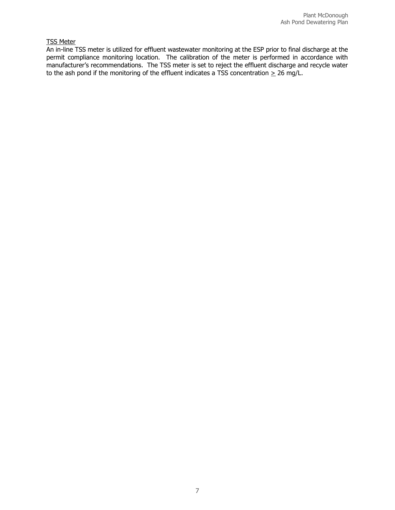## TSS Meter

An in-line TSS meter is utilized for effluent wastewater monitoring at the ESP prior to final discharge at the permit compliance monitoring location. The calibration of the meter is performed in accordance with manufacturer's recommendations. The TSS meter is set to reject the effluent discharge and recycle water to the ash pond if the monitoring of the effluent indicates a TSS concentration  $\geq 26$  mg/L.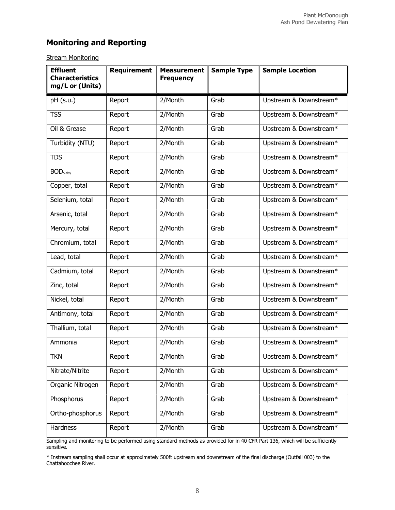# Monitoring and Reporting

## **Stream Monitoring**

| <b>Effluent</b><br><b>Characteristics</b><br>mg/L or (Units) | <b>Requirement</b> | <b>Measurement</b><br><b>Frequency</b> | <b>Sample Type</b> | <b>Sample Location</b> |
|--------------------------------------------------------------|--------------------|----------------------------------------|--------------------|------------------------|
| pH (s.u.)                                                    | Report             | 2/Month                                | Grab               | Upstream & Downstream* |
| <b>TSS</b>                                                   | Report             | 2/Month                                | Grab               | Upstream & Downstream* |
| Oil & Grease                                                 | Report             | 2/Month                                | Grab               | Upstream & Downstream* |
| Turbidity (NTU)                                              | Report             | 2/Month                                | Grab               | Upstream & Downstream* |
| <b>TDS</b>                                                   | Report             | 2/Month                                | Grab               | Upstream & Downstream* |
| BOD <sub>5-day</sub>                                         | Report             | 2/Month                                | Grab               | Upstream & Downstream* |
| Copper, total                                                | Report             | 2/Month                                | Grab               | Upstream & Downstream* |
| Selenium, total                                              | Report             | 2/Month                                | Grab               | Upstream & Downstream* |
| Arsenic, total                                               | Report             | 2/Month                                | Grab               | Upstream & Downstream* |
| Mercury, total                                               | Report             | 2/Month                                | Grab               | Upstream & Downstream* |
| Chromium, total                                              | Report             | 2/Month                                | Grab               | Upstream & Downstream* |
| Lead, total                                                  | Report             | 2/Month                                | Grab               | Upstream & Downstream* |
| Cadmium, total                                               | Report             | 2/Month                                | Grab               | Upstream & Downstream* |
| Zinc, total                                                  | Report             | 2/Month                                | Grab               | Upstream & Downstream* |
| Nickel, total                                                | Report             | 2/Month                                | Grab               | Upstream & Downstream* |
| Antimony, total                                              | Report             | 2/Month                                | Grab               | Upstream & Downstream* |
| Thallium, total                                              | Report             | 2/Month                                | Grab               | Upstream & Downstream* |
| Ammonia                                                      | Report             | 2/Month                                | Grab               | Upstream & Downstream* |
| <b>TKN</b>                                                   | Report             | 2/Month                                | Grab               | Upstream & Downstream* |
| Nitrate/Nitrite                                              | Report             | 2/Month                                | Grab               | Upstream & Downstream* |
| Organic Nitrogen                                             | Report             | 2/Month                                | Grab               | Upstream & Downstream* |
| Phosphorus                                                   | Report             | 2/Month                                | Grab               | Upstream & Downstream* |
| Ortho-phosphorus                                             | Report             | 2/Month                                | Grab               | Upstream & Downstream* |
| Hardness                                                     | Report             | 2/Month                                | Grab               | Upstream & Downstream* |

Sampling and monitoring to be performed using standard methods as provided for in 40 CFR Part 136, which will be sufficiently sensitive.

\* Instream sampling shall occur at approximately 500ft upstream and downstream of the final discharge (Outfall 003) to the Chattahoochee River.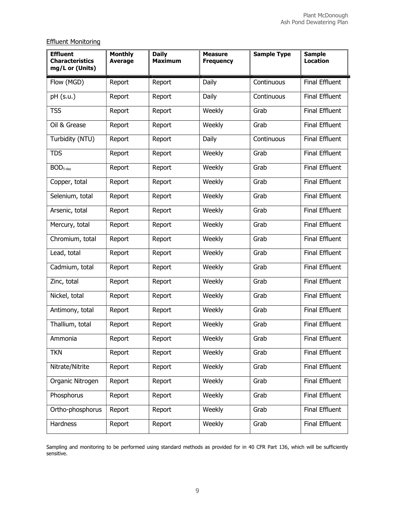## Effluent Monitoring

| <b>Effluent</b><br><b>Characteristics</b><br>mg/L or (Units) | <b>Monthly</b><br><b>Average</b> | <b>Daily</b><br><b>Maximum</b> | <b>Measure</b><br><b>Frequency</b> | <b>Sample Type</b> | <b>Sample</b><br><b>Location</b> |
|--------------------------------------------------------------|----------------------------------|--------------------------------|------------------------------------|--------------------|----------------------------------|
| Flow (MGD)                                                   | Report                           | Report                         | Daily                              | Continuous         | <b>Final Effluent</b>            |
| pH (s.u.)                                                    | Report                           | Report                         | Daily                              | Continuous         | <b>Final Effluent</b>            |
| <b>TSS</b>                                                   | Report                           | Report                         | Weekly                             | Grab               | <b>Final Effluent</b>            |
| Oil & Grease                                                 | Report                           | Report                         | Weekly                             | Grab               | <b>Final Effluent</b>            |
| Turbidity (NTU)                                              | Report                           | Report                         | Daily                              | Continuous         | <b>Final Effluent</b>            |
| <b>TDS</b>                                                   | Report                           | Report                         | Weekly                             | Grab               | <b>Final Effluent</b>            |
| BOD <sub>5-day</sub>                                         | Report                           | Report                         | Weekly                             | Grab               | Final Effluent                   |
| Copper, total                                                | Report                           | Report                         | Weekly                             | Grab               | Final Effluent                   |
| Selenium, total                                              | Report                           | Report                         | Weekly                             | Grab               | <b>Final Effluent</b>            |
| Arsenic, total                                               | Report                           | Report                         | Weekly                             | Grab               | <b>Final Effluent</b>            |
| Mercury, total                                               | Report                           | Report                         | Weekly                             | Grab               | Final Effluent                   |
| Chromium, total                                              | Report                           | Report                         | Weekly                             | Grab               | <b>Final Effluent</b>            |
| Lead, total                                                  | Report                           | Report                         | Weekly                             | Grab               | <b>Final Effluent</b>            |
| Cadmium, total                                               | Report                           | Report                         | Weekly                             | Grab               | Final Effluent                   |
| Zinc, total                                                  | Report                           | Report                         | Weekly                             | Grab               | <b>Final Effluent</b>            |
| Nickel, total                                                | Report                           | Report                         | Weekly                             | Grab               | Final Effluent                   |
| Antimony, total                                              | Report                           | Report                         | Weekly                             | Grab               | Final Effluent                   |
| Thallium, total                                              | Report                           | Report                         | Weekly                             | Grab               | Final Effluent                   |
| Ammonia                                                      | Report                           | Report                         | Weekly                             | Grab               | Final Effluent                   |
| <b>TKN</b>                                                   | Report                           | Report                         | Weekly                             | Grab               | Final Effluent                   |
| Nitrate/Nitrite                                              | Report                           | Report                         | Weekly                             | Grab               | Final Effluent                   |
| Organic Nitrogen                                             | Report                           | Report                         | Weekly                             | Grab               | Final Effluent                   |
| Phosphorus                                                   | Report                           | Report                         | Weekly                             | Grab               | Final Effluent                   |
| Ortho-phosphorus                                             | Report                           | Report                         | Weekly                             | Grab               | Final Effluent                   |
| Hardness                                                     | Report                           | Report                         | Weekly                             | Grab               | Final Effluent                   |

Sampling and monitoring to be performed using standard methods as provided for in 40 CFR Part 136, which will be sufficiently sensitive.